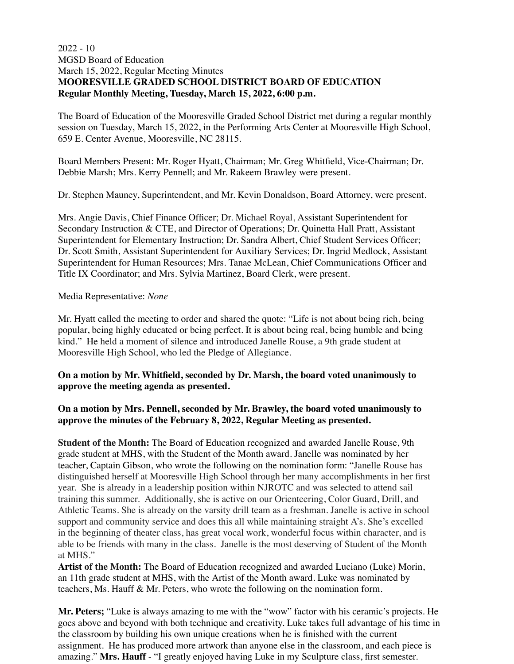# 2022 - 10 MGSD Board of Education March 15, 2022, Regular Meeting Minutes **MOORESVILLE GRADED SCHOOL DISTRICT BOARD OF EDUCATION Regular Monthly Meeting, Tuesday, March 15, 2022, 6:00 p.m.**

The Board of Education of the Mooresville Graded School District met during a regular monthly session on Tuesday, March 15, 2022, in the Performing Arts Center at Mooresville High School, 659 E. Center Avenue, Mooresville, NC 28115.

Board Members Present: Mr. Roger Hyatt, Chairman; Mr. Greg Whitfield, Vice-Chairman; Dr. Debbie Marsh; Mrs. Kerry Pennell; and Mr. Rakeem Brawley were present.

Dr. Stephen Mauney, Superintendent, and Mr. Kevin Donaldson, Board Attorney, were present.

Mrs. Angie Davis, Chief Finance Officer; Dr. Michael Royal, Assistant Superintendent for Secondary Instruction & CTE, and Director of Operations; Dr. Quinetta Hall Pratt, Assistant Superintendent for Elementary Instruction; Dr. Sandra Albert, Chief Student Services Officer; Dr. Scott Smith, Assistant Superintendent for Auxiliary Services; Dr. Ingrid Medlock, Assistant Superintendent for Human Resources; Mrs. Tanae McLean, Chief Communications Officer and Title IX Coordinator; and Mrs. Sylvia Martinez, Board Clerk, were present.

### Media Representative: *None*

Mr. Hyatt called the meeting to order and shared the quote: "Life is not about being rich, being popular, being highly educated or being perfect. It is about being real, being humble and being kind." He held a moment of silence and introduced Janelle Rouse, a 9th grade student at Mooresville High School, who led the Pledge of Allegiance.

### **On a motion by Mr. Whitfield, seconded by Dr. Marsh, the board voted unanimously to approve the meeting agenda as presented.**

# **On a motion by Mrs. Pennell, seconded by Mr. Brawley, the board voted unanimously to approve the minutes of the February 8, 2022, Regular Meeting as presented.**

**Student of the Month:** The Board of Education recognized and awarded Janelle Rouse, 9th grade student at MHS, with the Student of the Month award. Janelle was nominated by her teacher, Captain Gibson, who wrote the following on the nomination form: "Janelle Rouse has distinguished herself at Mooresville High School through her many accomplishments in her first year. She is already in a leadership position within NJROTC and was selected to attend sail training this summer. Additionally, she is active on our Orienteering, Color Guard, Drill, and Athletic Teams. She is already on the varsity drill team as a freshman. Janelle is active in school support and community service and does this all while maintaining straight A's. She's excelled in the beginning of theater class, has great vocal work, wonderful focus within character, and is able to be friends with many in the class. Janelle is the most deserving of Student of the Month at MHS."

**Artist of the Month:** The Board of Education recognized and awarded Luciano (Luke) Morin, an 11th grade student at MHS, with the Artist of the Month award. Luke was nominated by teachers, Ms. Hauff & Mr. Peters, who wrote the following on the nomination form.

**Mr. Peters;** "Luke is always amazing to me with the "wow" factor with his ceramic's projects. He goes above and beyond with both technique and creativity. Luke takes full advantage of his time in the classroom by building his own unique creations when he is finished with the current assignment. He has produced more artwork than anyone else in the classroom, and each piece is amazing." **Mrs. Hauff** - "I greatly enjoyed having Luke in my Sculpture class, first semester.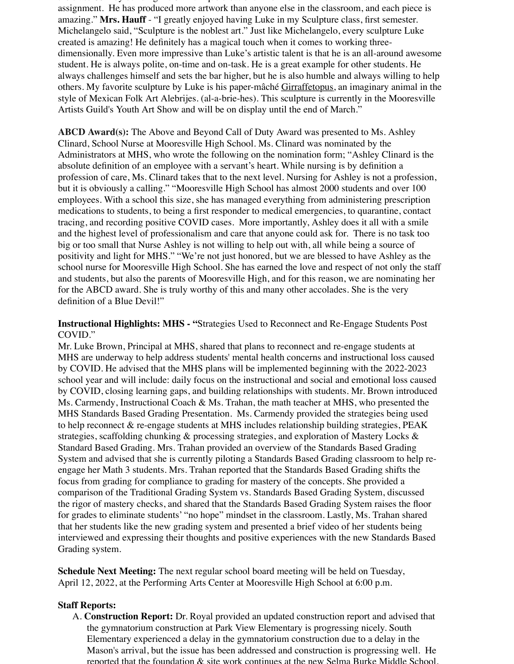the classical building his own unique creations when  $\mathbf{r}$ assignment. He has produced more artwork than anyone else in the classroom, and each piece is amazing." **Mrs. Hauff** - "I greatly enjoyed having Luke in my Sculpture class, first semester. Michelangelo said, "Sculpture is the noblest art." Just like Michelangelo, every sculpture Luke created is amazing! He definitely has a magical touch when it comes to working threedimensionally. Even more impressive than Luke's artistic talent is that he is an all-around awesome student. He is always polite, on-time and on-task. He is a great example for other students. He always challenges himself and sets the bar higher, but he is also humble and always willing to help others. My favorite sculpture by Luke is his paper-mâché Girraffetopus, an imaginary animal in the style of Mexican Folk Art Alebrijes. (al-a-brie-hes). This sculpture is currently in the Mooresville Artists Guild's Youth Art Show and will be on display until the end of March."

**ABCD Award(s):** The Above and Beyond Call of Duty Award was presented to Ms. Ashley Clinard, School Nurse at Mooresville High School. Ms. Clinard was nominated by the Administrators at MHS, who wrote the following on the nomination form; "Ashley Clinard is the absolute definition of an employee with a servant's heart. While nursing is by definition a profession of care, Ms. Clinard takes that to the next level. Nursing for Ashley is not a profession, but it is obviously a calling." "Mooresville High School has almost 2000 students and over 100 employees. With a school this size, she has managed everything from administering prescription medications to students, to being a first responder to medical emergencies, to quarantine, contact tracing, and recording positive COVID cases. More importantly, Ashley does it all with a smile and the highest level of professionalism and care that anyone could ask for. There is no task too big or too small that Nurse Ashley is not willing to help out with, all while being a source of positivity and light for MHS." "We're not just honored, but we are blessed to have Ashley as the school nurse for Mooresville High School. She has earned the love and respect of not only the staff and students, but also the parents of Mooresville High, and for this reason, we are nominating her for the ABCD award. She is truly worthy of this and many other accolades. She is the very definition of a Blue Devil!"

### **Instructional Highlights: MHS - "**Strategies Used to Reconnect and Re-Engage Students Post COVID."

Mr. Luke Brown, Principal at MHS, shared that plans to reconnect and re-engage students at MHS are underway to help address students' mental health concerns and instructional loss caused by COVID. He advised that the MHS plans will be implemented beginning with the 2022-2023 school year and will include: daily focus on the instructional and social and emotional loss caused by COVID, closing learning gaps, and building relationships with students. Mr. Brown introduced Ms. Carmendy, Instructional Coach & Ms. Trahan, the math teacher at MHS, who presented the MHS Standards Based Grading Presentation. Ms. Carmendy provided the strategies being used to help reconnect  $\&$  re-engage students at MHS includes relationship building strategies, PEAK strategies, scaffolding chunking & processing strategies, and exploration of Mastery Locks & Standard Based Grading. Mrs. Trahan provided an overview of the Standards Based Grading System and advised that she is currently piloting a Standards Based Grading classroom to help reengage her Math 3 students. Mrs. Trahan reported that the Standards Based Grading shifts the focus from grading for compliance to grading for mastery of the concepts. She provided a comparison of the Traditional Grading System vs. Standards Based Grading System, discussed the rigor of mastery checks, and shared that the Standards Based Grading System raises the floor for grades to eliminate students' "no hope" mindset in the classroom. Lastly, Ms. Trahan shared that her students like the new grading system and presented a brief video of her students being interviewed and expressing their thoughts and positive experiences with the new Standards Based Grading system.

**Schedule Next Meeting:** The next regular school board meeting will be held on Tuesday, April 12, 2022, at the Performing Arts Center at Mooresville High School at 6:00 p.m.

# **Staff Reports:**

A. **Construction Report:** Dr. Royal provided an updated construction report and advised that the gymnatorium construction at Park View Elementary is progressing nicely. South Elementary experienced a delay in the gymnatorium construction due to a delay in the Mason's arrival, but the issue has been addressed and construction is progressing well. He reported that the foundation  $\&$  site work continues at the new Selma Burke Middle School,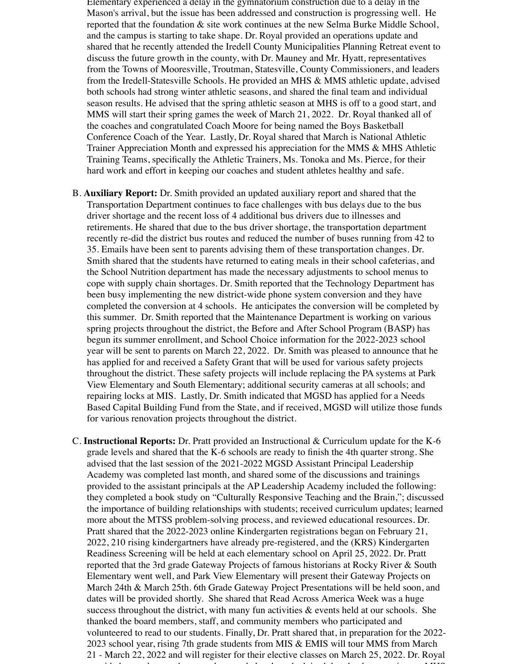Elementary experienced a delay in the gymnatorium construction due to a delay in the Mason's arrival, but the issue has been addressed and construction is progressing well. He reported that the foundation & site work continues at the new Selma Burke Middle School, and the campus is starting to take shape. Dr. Royal provided an operations update and shared that he recently attended the Iredell County Municipalities Planning Retreat event to discuss the future growth in the county, with Dr. Mauney and Mr. Hyatt, representatives from the Towns of Mooresville, Troutman, Statesville, County Commissioners, and leaders from the Iredell-Statesville Schools. He provided an MHS & MMS athletic update, advised both schools had strong winter athletic seasons, and shared the final team and individual season results. He advised that the spring athletic season at MHS is off to a good start, and MMS will start their spring games the week of March 21, 2022. Dr. Royal thanked all of the coaches and congratulated Coach Moore for being named the Boys Basketball Conference Coach of the Year. Lastly, Dr. Royal shared that March is National Athletic Trainer Appreciation Month and expressed his appreciation for the MMS & MHS Athletic Training Teams, specifically the Athletic Trainers, Ms. Tonoka and Ms. Pierce, for their hard work and effort in keeping our coaches and student athletes healthy and safe.

- B. **Auxiliary Report:** Dr. Smith provided an updated auxiliary report and shared that the Transportation Department continues to face challenges with bus delays due to the bus driver shortage and the recent loss of 4 additional bus drivers due to illnesses and retirements. He shared that due to the bus driver shortage, the transportation department recently re-did the district bus routes and reduced the number of buses running from 42 to 35. Emails have been sent to parents advising them of these transportation changes. Dr. Smith shared that the students have returned to eating meals in their school cafeterias, and the School Nutrition department has made the necessary adjustments to school menus to cope with supply chain shortages. Dr. Smith reported that the Technology Department has been busy implementing the new district-wide phone system conversion and they have completed the conversion at 4 schools. He anticipates the conversion will be completed by this summer. Dr. Smith reported that the Maintenance Department is working on various spring projects throughout the district, the Before and After School Program (BASP) has begun its summer enrollment, and School Choice information for the 2022-2023 school year will be sent to parents on March 22, 2022. Dr. Smith was pleased to announce that he has applied for and received a Safety Grant that will be used for various safety projects throughout the district. These safety projects will include replacing the PA systems at Park View Elementary and South Elementary; additional security cameras at all schools; and repairing locks at MIS. Lastly, Dr. Smith indicated that MGSD has applied for a Needs Based Capital Building Fund from the State, and if received, MGSD will utilize those funds for various renovation projects throughout the district.
- C. **Instructional Reports:** Dr. Pratt provided an Instructional & Curriculum update for the K-6 grade levels and shared that the K-6 schools are ready to finish the 4th quarter strong. She advised that the last session of the 2021-2022 MGSD Assistant Principal Leadership Academy was completed last month, and shared some of the discussions and trainings provided to the assistant principals at the AP Leadership Academy included the following: they completed a book study on "Culturally Responsive Teaching and the Brain,"; discussed the importance of building relationships with students; received curriculum updates; learned more about the MTSS problem-solving process, and reviewed educational resources. Dr. Pratt shared that the 2022-2023 online Kindergarten registrations began on February 21, 2022, 210 rising kindergartners have already pre-registered, and the (KRS) Kindergarten Readiness Screening will be held at each elementary school on April 25, 2022. Dr. Pratt reported that the 3rd grade Gateway Projects of famous historians at Rocky River & South Elementary went well, and Park View Elementary will present their Gateway Projects on March 24th & March 25th. 6th Grade Gateway Project Presentations will be held soon, and dates will be provided shortly. She shared that Read Across America Week was a huge success throughout the district, with many fun activities  $\&$  events held at our schools. She thanked the board members, staff, and community members who participated and volunteered to read to our students. Finally, Dr. Pratt shared that, in preparation for the 2022- 2023 school year, rising 7th grade students from MIS & EMIS will tour MMS from March 21 - March 22, 2022 and will register for their elective classes on March 25, 2022. Dr. Royal provided an update on the secondary grade levels and advised that the data meetings at MHS,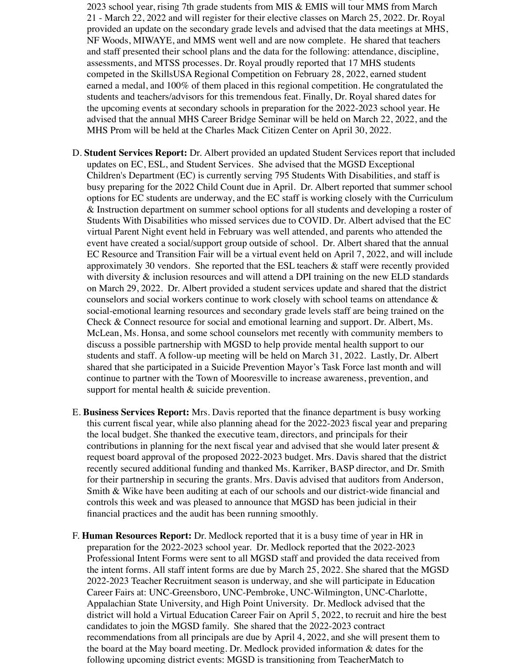volunteered to read to our students. Finally, Dr. Pratt shared that, in preparation for the 2022- 2023 school year, rising 7th grade students from MIS & EMIS will tour MMS from March 21 - March 22, 2022 and will register for their elective classes on March 25, 2022. Dr. Royal provided an update on the secondary grade levels and advised that the data meetings at MHS, NF Woods, MIWAYE, and MMS went well and are now complete. He shared that teachers and staff presented their school plans and the data for the following: attendance, discipline, assessments, and MTSS processes. Dr. Royal proudly reported that 17 MHS students competed in the SkillsUSA Regional Competition on February 28, 2022, earned student earned a medal, and 100% of them placed in this regional competition. He congratulated the students and teachers/advisors for this tremendous feat. Finally, Dr. Royal shared dates for the upcoming events at secondary schools in preparation for the 2022-2023 school year. He advised that the annual MHS Career Bridge Seminar will be held on March 22, 2022, and the MHS Prom will be held at the Charles Mack Citizen Center on April 30, 2022.

- D. **Student Services Report:** Dr. Albert provided an updated Student Services report that included updates on EC, ESL, and Student Services. She advised that the MGSD Exceptional Children's Department (EC) is currently serving 795 Students With Disabilities, and staff is busy preparing for the 2022 Child Count due in April. Dr. Albert reported that summer school options for EC students are underway, and the EC staff is working closely with the Curriculum & Instruction department on summer school options for all students and developing a roster of Students With Disabilities who missed services due to COVID. Dr. Albert advised that the EC virtual Parent Night event held in February was well attended, and parents who attended the event have created a social/support group outside of school. Dr. Albert shared that the annual EC Resource and Transition Fair will be a virtual event held on April 7, 2022, and will include approximately 30 vendors. She reported that the ESL teachers  $\&$  staff were recently provided with diversity  $\&$  inclusion resources and will attend a DPI training on the new ELD standards on March 29, 2022. Dr. Albert provided a student services update and shared that the district counselors and social workers continue to work closely with school teams on attendance & social-emotional learning resources and secondary grade levels staff are being trained on the Check & Connect resource for social and emotional learning and support. Dr. Albert, Ms. McLean, Ms. Honsa, and some school counselors met recently with community members to discuss a possible partnership with MGSD to help provide mental health support to our students and staff. A follow-up meeting will be held on March 31, 2022. Lastly, Dr. Albert shared that she participated in a Suicide Prevention Mayor's Task Force last month and will continue to partner with the Town of Mooresville to increase awareness, prevention, and support for mental health & suicide prevention.
- E. **Business Services Report:** Mrs. Davis reported that the finance department is busy working this current fiscal year, while also planning ahead for the 2022-2023 fiscal year and preparing the local budget. She thanked the executive team, directors, and principals for their contributions in planning for the next fiscal year and advised that she would later present  $\&$ request board approval of the proposed 2022-2023 budget. Mrs. Davis shared that the district recently secured additional funding and thanked Ms. Karriker, BASP director, and Dr. Smith for their partnership in securing the grants. Mrs. Davis advised that auditors from Anderson, Smith & Wike have been auditing at each of our schools and our district-wide financial and controls this week and was pleased to announce that MGSD has been judicial in their financial practices and the audit has been running smoothly.
- F. **Human Resources Report:** Dr. Medlock reported that it is a busy time of year in HR in preparation for the 2022-2023 school year. Dr. Medlock reported that the 2022-2023 Professional Intent Forms were sent to all MGSD staff and provided the data received from the intent forms. All staff intent forms are due by March 25, 2022. She shared that the MGSD 2022-2023 Teacher Recruitment season is underway, and she will participate in Education Career Fairs at: UNC-Greensboro, UNC-Pembroke, UNC-Wilmington, UNC-Charlotte, Appalachian State University, and High Point University. Dr. Medlock advised that the district will hold a Virtual Education Career Fair on April 5, 2022, to recruit and hire the best candidates to join the MGSD family. She shared that the 2022-2023 contract recommendations from all principals are due by April 4, 2022, and she will present them to the board at the May board meeting. Dr. Medlock provided information  $\&$  dates for the following upcoming district events: MGSD is transitioning from TeacherMatch to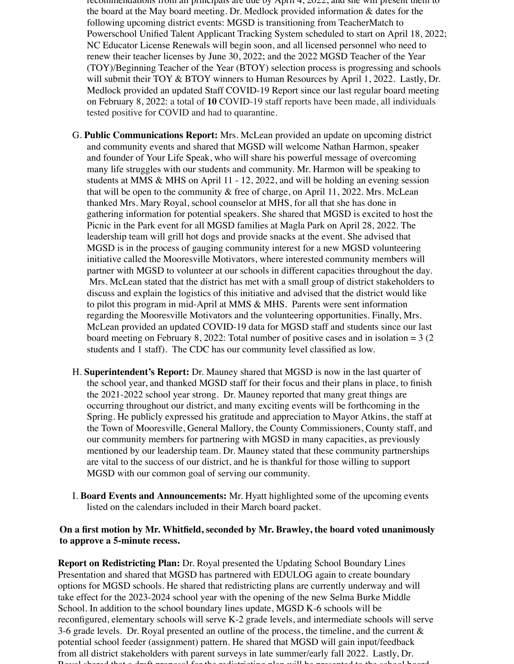recommendations from all principals are due by April 4, 2022, and she will present them to the board at the May board meeting. Dr. Medlock provided information & dates for the following upcoming district events: MGSD is transitioning from TeacherMatch to Powerschool Unified Talent Applicant Tracking System scheduled to start on April 18, 2022; NC Educator License Renewals will begin soon, and all licensed personnel who need to renew their teacher licenses by June 30, 2022; and the 2022 MGSD Teacher of the Year (TOY)/Beginning Teacher of the Year (BTOY) selection process is progressing and schools will submit their TOY & BTOY winners to Human Resources by April 1, 2022. Lastly, Dr. Medlock provided an updated Staff COVID-19 Report since our last regular board meeting on February 8, 2022: a total of **10** COVID-19 staff reports have been made, all individuals tested positive for COVID and had to quarantine.

- G. **Public Communications Report:** Mrs. McLean provided an update on upcoming district and community events and shared that MGSD will welcome Nathan Harmon, speaker and founder of Your Life Speak, who will share his powerful message of overcoming many life struggles with our students and community. Mr. Harmon will be speaking to students at MMS & MHS on April 11 - 12, 2022, and will be holding an evening session that will be open to the community  $\&$  free of charge, on April 11, 2022. Mrs. McLean thanked Mrs. Mary Royal, school counselor at MHS, for all that she has done in gathering information for potential speakers. She shared that MGSD is excited to host the Picnic in the Park event for all MGSD families at Magla Park on April 28, 2022. The leadership team will grill hot dogs and provide snacks at the event. She advised that MGSD is in the process of gauging community interest for a new MGSD volunteering initiative called the Mooresville Motivators, where interested community members will partner with MGSD to volunteer at our schools in different capacities throughout the day. Mrs. McLean stated that the district has met with a small group of district stakeholders to discuss and explain the logistics of this initiative and advised that the district would like to pilot this program in mid-April at MMS & MHS. Parents were sent information regarding the Mooresville Motivators and the volunteering opportunities. Finally, Mrs. McLean provided an updated COVID-19 data for MGSD staff and students since our last board meeting on February 8, 2022: Total number of positive cases and in isolation  $= 3 (2)$ students and 1 staff). The CDC has our community level classified as low.
- H. **Superintendent's Report:** Dr. Mauney shared that MGSD is now in the last quarter of the school year, and thanked MGSD staff for their focus and their plans in place, to finish the 2021-2022 school year strong. Dr. Mauney reported that many great things are occurring throughout our district, and many exciting events will be forthcoming in the Spring. He publicly expressed his gratitude and appreciation to Mayor Atkins, the staff at the Town of Mooresville, General Mallory, the County Commissioners, County staff, and our community members for partnering with MGSD in many capacities, as previously mentioned by our leadership team. Dr. Mauney stated that these community partnerships are vital to the success of our district, and he is thankful for those willing to support MGSD with our common goal of serving our community.
- I. **Board Events and Announcements:** Mr. Hyatt highlighted some of the upcoming events listed on the calendars included in their March board packet.

### **On a first motion by Mr. Whitfield, seconded by Mr. Brawley, the board voted unanimously to approve a 5-minute recess.**

**Report on Redistricting Plan:** Dr. Royal presented the Updating School Boundary Lines Presentation and shared that MGSD has partnered with EDULOG again to create boundary options for MGSD schools. He shared that redistricting plans are currently underway and will take effect for the 2023-2024 school year with the opening of the new Selma Burke Middle School. In addition to the school boundary lines update, MGSD K-6 schools will be reconfigured, elementary schools will serve K-2 grade levels, and intermediate schools will serve 3-6 grade levels. Dr. Royal presented an outline of the process, the timeline, and the current  $\&$ potential school feeder (assignment) pattern. He shared that MGSD will gain input/feedback from all district stakeholders with parent surveys in late summer/early fall 2022. Lastly, Dr. Royal shared that a draft proposal for the redistricting plan will be presented to the school board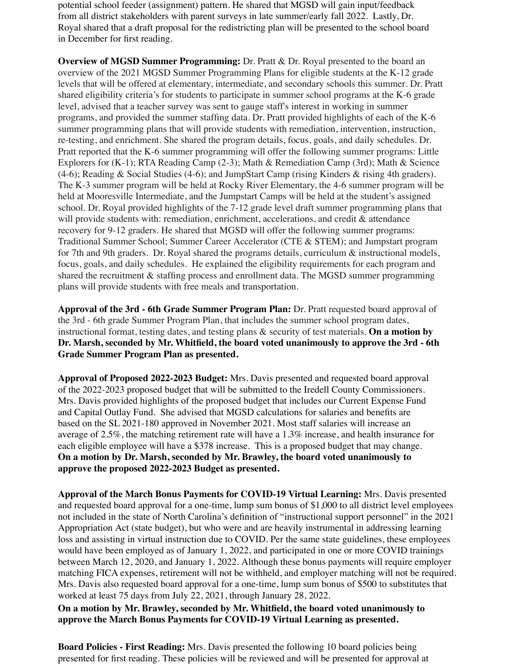potential school feeder (assignment) pattern. He shared that MGSD will gain input/feedback from all district stakeholders with parent surveys in late summer/early fall 2022. Lastly, Dr. Royal shared that a draft proposal for the redistricting plan will be presented to the school board in December for first reading.

**Overview of MGSD Summer Programming:** Dr. Pratt & Dr. Royal presented to the board an overview of the 2021 MGSD Summer Programming Plans for eligible students at the K-12 grade levels that will be offered at elementary, intermediate, and secondary schools this summer. Dr. Pratt shared eligibility criteria's for students to participate in summer school programs at the K-6 grade level, advised that a teacher survey was sent to gauge staff's interest in working in summer programs, and provided the summer staffing data. Dr. Pratt provided highlights of each of the K-6 summer programming plans that will provide students with remediation, intervention, instruction, re-testing, and enrichment. She shared the program details, focus, goals, and daily schedules. Dr. Pratt reported that the K-6 summer programming will offer the following summer programs: Little Explorers for (K-1); RTA Reading Camp (2-3); Math & Remediation Camp (3rd); Math & Science (4-6); Reading & Social Studies (4-6); and JumpStart Camp (rising Kinders & rising 4th graders). The K-3 summer program will be held at Rocky River Elementary, the 4-6 summer program will be held at Mooresville Intermediate, and the Jumpstart Camps will be held at the student's assigned school. Dr. Royal provided highlights of the 7-12 grade level draft summer programming plans that will provide students with: remediation, enrichment, accelerations, and credit & attendance recovery for 9-12 graders. He shared that MGSD will offer the following summer programs: Traditional Summer School; Summer Career Accelerator (CTE & STEM); and Jumpstart program for 7th and 9th graders. Dr. Royal shared the programs details, curriculum & instructional models, focus, goals, and daily schedules. He explained the eligibility requirements for each program and shared the recruitment & staffing process and enrollment data. The MGSD summer programming plans will provide students with free meals and transportation.

**Approval of the 3rd - 6th Grade Summer Program Plan:** Dr. Pratt requested board approval of the 3rd - 6th grade Summer Program Plan, that includes the summer school program dates, instructional format, testing dates, and testing plans & security of test materials. **On a motion by Dr. Marsh, seconded by Mr. Whitfield, the board voted unanimously to approve the 3rd - 6th Grade Summer Program Plan as presented.**

**Approval of Proposed 2022-2023 Budget:** Mrs. Davis presented and requested board approval of the 2022-2023 proposed budget that will be submitted to the Iredell County Commissioners. Mrs. Davis provided highlights of the proposed budget that includes our Current Expense Fund and Capital Outlay Fund. She advised that MGSD calculations for salaries and benefits are based on the SL 2021-180 approved in November 2021. Most staff salaries will increase an average of 2.5%, the matching retirement rate will have a 1.3% increase, and health insurance for each eligible employee will have a \$378 increase. This is a proposed budget that may change. **On a motion by Dr. Marsh, seconded by Mr. Brawley, the board voted unanimously to approve the proposed 2022-2023 Budget as presented.**

**Approval of the March Bonus Payments for COVID-19 Virtual Learning:** Mrs. Davis presented and requested board approval for a one-time, lump sum bonus of \$1,000 to all district level employees not included in the state of North Carolina's definition of "instructional support personnel" in the 2021 Appropriation Act (state budget), but who were and are heavily instrumental in addressing learning loss and assisting in virtual instruction due to COVID. Per the same state guidelines, these employees would have been employed as of January 1, 2022, and participated in one or more COVID trainings between March 12, 2020, and January 1, 2022. Although these bonus payments will require employer matching FICA expenses, retirement will not be withheld, and employer matching will not be required. Mrs. Davis also requested board approval for a one-time, lump sum bonus of \$500 to substitutes that worked at least 75 days from July 22, 2021, through January 28, 2022.

**On a motion by Mr. Brawley, seconded by Mr. Whitfield, the board voted unanimously to approve the March Bonus Payments for COVID-19 Virtual Learning as presented.** 

**Board Policies - First Reading:** Mrs. Davis presented the following 10 board policies being presented for first reading. These policies will be reviewed and will be presented for approval at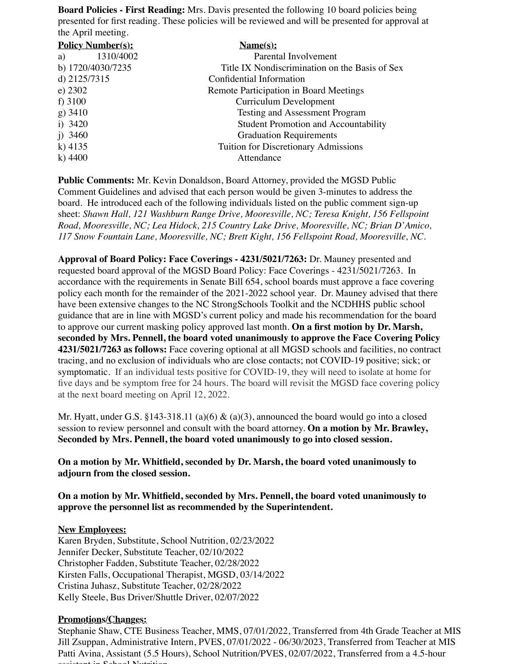**Board Policies - First Reading:** Mrs. Davis presented the following 10 board policies being presented for first reading. These policies will be reviewed and will be presented for approval at the April meeting.

| <b>Policy Number(s):</b> | $\mathbf{Name}(\mathbf{s})$ :                  |
|--------------------------|------------------------------------------------|
| 1310/4002<br>a)          | Parental Involvement                           |
| b) 1720/4030/7235        | Title IX Nondiscrimination on the Basis of Sex |
| d) 2125/7315             | Confidential Information                       |
| e) $2302$                | Remote Participation in Board Meetings         |
| f) $3100$                | Curriculum Development                         |
| $g)$ 3410                | <b>Testing and Assessment Program</b>          |
| i) $3420$                | <b>Student Promotion and Accountability</b>    |
| i) $3460$                | <b>Graduation Requirements</b>                 |
| k) $4135$                | Tuition for Discretionary Admissions           |
| $k)$ 4400                | Attendance                                     |

**Public Comments:** Mr. Kevin Donaldson, Board Attorney, provided the MGSD Public Comment Guidelines and advised that each person would be given 3-minutes to address the board. He introduced each of the following individuals listed on the public comment sign-up sheet: *Shawn Hall, 121 Washburn Range Drive, Mooresville, NC; Teresa Knight, 156 Fellspoint Road, Mooresville, NC; Lea Hidock, 215 Country Lake Drive, Mooresville, NC; Brian D'Amico, 117 Snow Fountain Lane, Mooresville, NC; Brett Kight, 156 Fellspoint Road, Mooresville, NC.*

**Approval of Board Policy: Face Coverings - 4231/5021/7263:** Dr. Mauney presented and requested board approval of the MGSD Board Policy: Face Coverings - 4231/5021/7263. In accordance with the requirements in Senate Bill 654, school boards must approve a face covering policy each month for the remainder of the 2021-2022 school year. Dr. Mauney advised that there have been extensive changes to the NC StrongSchools Toolkit and the NCDHHS public school guidance that are in line with MGSD's current policy and made his recommendation for the board to approve our current masking policy approved last month. **On a first motion by Dr. Marsh, seconded by Mrs. Pennell, the board voted unanimously to approve the Face Covering Policy 4231/5021/7263 as follows:** Face covering optional at all MGSD schools and facilities, no contract tracing, and no exclusion of individuals who are close contacts; not COVID-19 positive; sick; or symptomatic. If an individual tests positive for COVID-19, they will need to isolate at home for five days and be symptom free for 24 hours. The board will revisit the MGSD face covering policy at the next board meeting on April 12, 2022.

Mr. Hyatt, under G.S. §143-318.11 (a)(6)  $\&$  (a)(3), announced the board would go into a closed session to review personnel and consult with the board attorney. **On a motion by Mr. Brawley, Seconded by Mrs. Pennell, the board voted unanimously to go into closed session.**

**On a motion by Mr. Whitfield, seconded by Dr. Marsh, the board voted unanimously to adjourn from the closed session.**

**On a motion by Mr. Whitfield, seconded by Mrs. Pennell, the board voted unanimously to approve the personnel list as recommended by the Superintendent.**

#### **New Employees:**

Karen Bryden, Substitute, School Nutrition, 02/23/2022 Jennifer Decker, Substitute Teacher, 02/10/2022 Christopher Fadden, Substitute Teacher, 02/28/2022 Kirsten Falls, Occupational Therapist, MGSD, 03/14/2022 Cristina Juhasz, Substitute Teacher, 02/28/2022 Kelly Steele, Bus Driver/Shuttle Driver, 02/07/2022

#### **Promotions/Changes:**

Stephanie Shaw, CTE Business Teacher, MMS, 07/01/2022, Transferred from 4th Grade Teacher at MIS Jill Zsuppan, Administrative Intern, PVES, 07/01/2022 - 06/30/2023, Transferred from Teacher at MIS Patti Avina, Assistant (5.5 Hours), School Nutrition/PVES, 02/07/2022, Transferred from a 4.5-hour assistant in School Nutrition